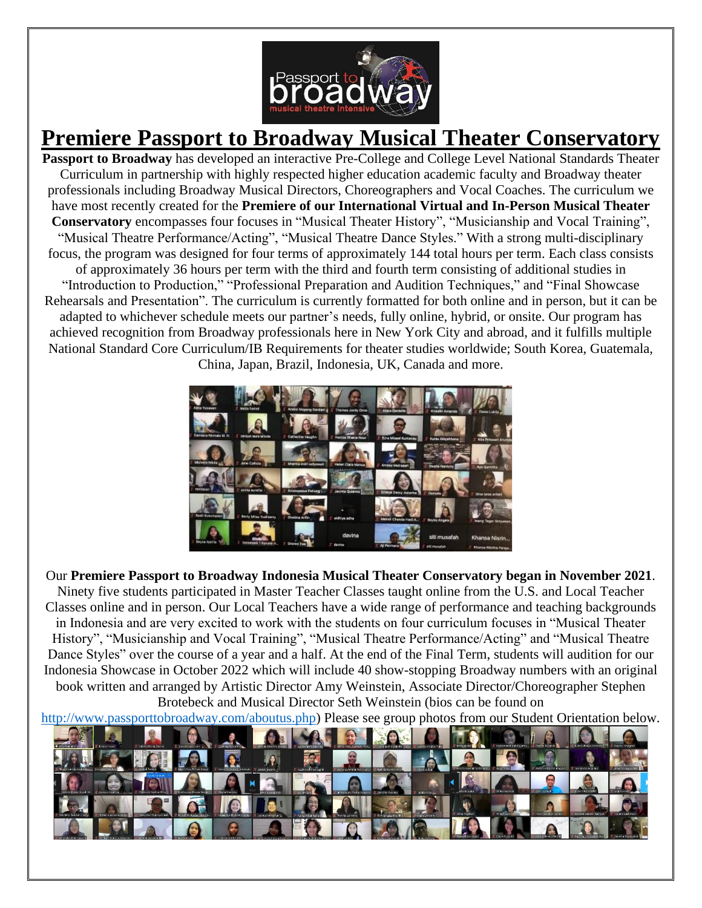

## **Premiere Passport to Broadway Musical Theater Conservatory**

**Passport to Broadway** has developed an interactive Pre-College and College Level National Standards Theater Curriculum in partnership with highly respected higher education academic faculty and Broadway theater professionals including Broadway Musical Directors, Choreographers and Vocal Coaches. The curriculum we have most recently created for the **Premiere of our International Virtual and In-Person Musical Theater Conservatory** encompasses four focuses in "Musical Theater History", "Musicianship and Vocal Training", "Musical Theatre Performance/Acting", "Musical Theatre Dance Styles." With a strong multi-disciplinary focus, the program was designed for four terms of approximately 144 total hours per term. Each class consists of approximately 36 hours per term with the third and fourth term consisting of additional studies in "Introduction to Production," "Professional Preparation and Audition Techniques," and "Final Showcase Rehearsals and Presentation". The curriculum is currently formatted for both online and in person, but it can be adapted to whichever schedule meets our partner's needs, fully online, hybrid, or onsite. Our program has achieved recognition from Broadway professionals here in New York City and abroad, and it fulfills multiple National Standard Core Curriculum/IB Requirements for theater studies worldwide; South Korea, Guatemala, China, Japan, Brazil, Indonesia, UK, Canada and more.



Our **Premiere Passport to Broadway Indonesia Musical Theater Conservatory began in November 2021**. Ninety five students participated in Master Teacher Classes taught online from the U.S. and Local Teacher Classes online and in person. Our Local Teachers have a wide range of performance and teaching backgrounds in Indonesia and are very excited to work with the students on four curriculum focuses in "Musical Theater History", "Musicianship and Vocal Training", "Musical Theatre Performance/Acting" and "Musical Theatre Dance Styles" over the course of a year and a half. At the end of the Final Term, students will audition for our Indonesia Showcase in October 2022 which will include 40 show-stopping Broadway numbers with an original book written and arranged by Artistic Director Amy Weinstein, Associate Director/Choreographer Stephen Brotebeck and Musical Director Seth Weinstein (bios can be found on

[http://www.passporttobroadway.com/aboutus.php\)](http://www.passporttobroadway.com/aboutus.php) Please see group photos from our Student Orientation below.

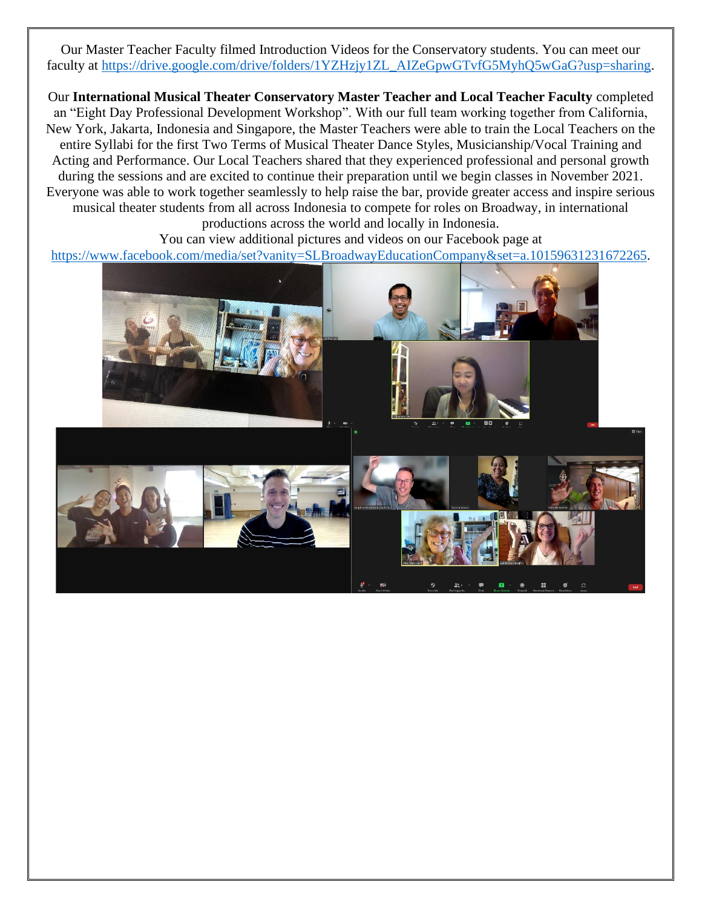Our Master Teacher Faculty filmed Introduction Videos for the Conservatory students. You can meet our faculty at [https://drive.google.com/drive/folders/1YZHzjy1ZL\\_AIZeGpwGTvfG5MyhQ5wGaG?usp=sharing.](https://drive.google.com/drive/folders/1YZHzjy1ZL_AIZeGpwGTvfG5MyhQ5wGaG?usp=sharing)

Our **International Musical Theater Conservatory Master Teacher and Local Teacher Faculty** completed an "Eight Day Professional Development Workshop". With our full team working together from California, New York, Jakarta, Indonesia and Singapore, the Master Teachers were able to train the Local Teachers on the entire Syllabi for the first Two Terms of Musical Theater Dance Styles, Musicianship/Vocal Training and Acting and Performance. Our Local Teachers shared that they experienced professional and personal growth during the sessions and are excited to continue their preparation until we begin classes in November 2021. Everyone was able to work together seamlessly to help raise the bar, provide greater access and inspire serious musical theater students from all across Indonesia to compete for roles on Broadway, in international productions across the world and locally in Indonesia.

You can view additional pictures and videos on our Facebook page at [https://www.facebook.com/media/set?vanity=SLBroadwayEducationCompany&set=a.10159631231672265.](https://www.facebook.com/media/set?vanity=SLBroadwayEducationCompany&set=a.10159631231672265)